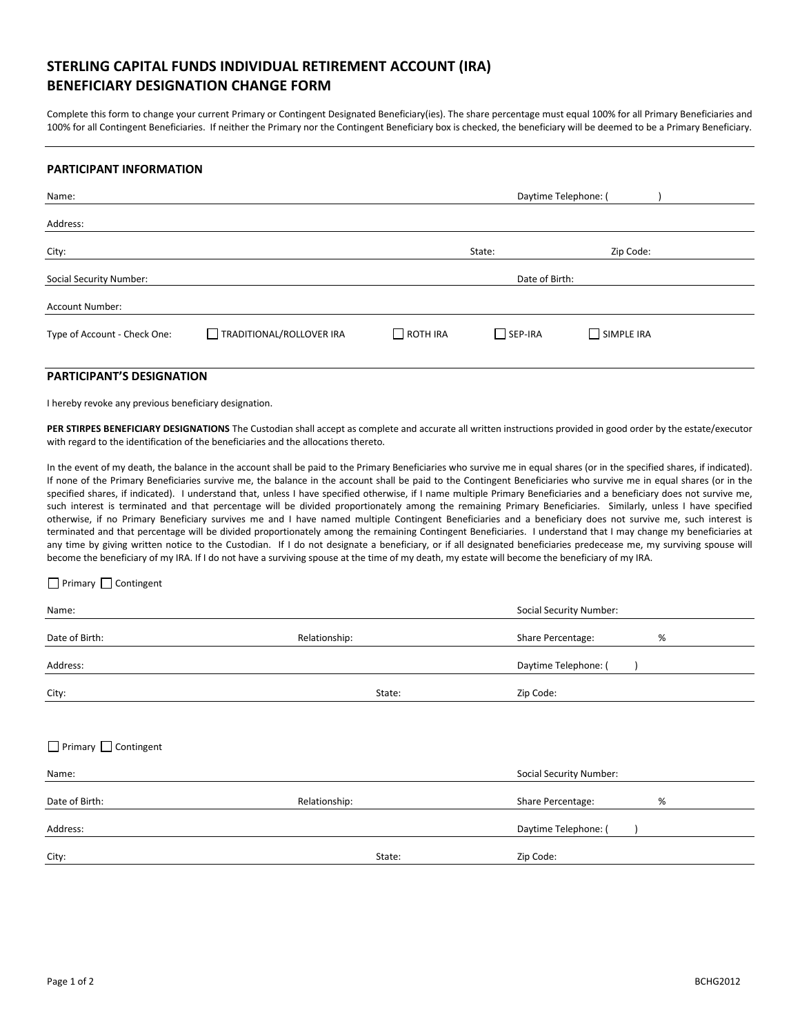# STERLING CAPITAL FUNDS INDIVIDUAL RETIREMENT ACCOUNT (IRA) BENEFICIARY DESIGNATION CHANGE FORM

Complete this form to change your current Primary or Contingent Designated Beneficiary(ies). The share percentage must equal 100% for all Primary Beneficiaries and 100% for all Contingent Beneficiaries. If neither the Primary nor the Contingent Beneficiary box is checked, the beneficiary will be deemed to be a Primary Beneficiary.

#### PARTICIPANT INFORMATION

| Name:                        | Daytime Telephone: (     |                 |                |            |  |
|------------------------------|--------------------------|-----------------|----------------|------------|--|
| Address:                     |                          |                 |                |            |  |
| City:                        |                          |                 | State:         | Zip Code:  |  |
| Social Security Number:      |                          | Date of Birth:  |                |            |  |
| <b>Account Number:</b>       |                          |                 |                |            |  |
| Type of Account - Check One: | TRADITIONAL/ROLLOVER IRA | $\Box$ ROTH IRA | $\Box$ SEP-IRA | SIMPLE IRA |  |

# PARTICIPANT'S DESIGNATION

I hereby revoke any previous beneficiary designation.

PER STIRPES BENEFICIARY DESIGNATIONS The Custodian shall accept as complete and accurate all written instructions provided in good order by the estate/executor with regard to the identification of the beneficiaries and the allocations thereto.

In the event of my death, the balance in the account shall be paid to the Primary Beneficiaries who survive me in equal shares (or in the specified shares, if indicated). If none of the Primary Beneficiaries survive me, the balance in the account shall be paid to the Contingent Beneficiaries who survive me in equal shares (or in the specified shares, if indicated). I understand that, unless I have specified otherwise, if I name multiple Primary Beneficiaries and a beneficiary does not survive me, such interest is terminated and that percentage will be divided proportionately among the remaining Primary Beneficiaries. Similarly, unless I have specified otherwise, if no Primary Beneficiary survives me and I have named multiple Contingent Beneficiaries and a beneficiary does not survive me, such interest is terminated and that percentage will be divided proportionately among the remaining Contingent Beneficiaries. I understand that I may change my beneficiaries at any time by giving written notice to the Custodian. If I do not designate a beneficiary, or if all designated beneficiaries predecease me, my surviving spouse will become the beneficiary of my IRA. If I do not have a surviving spouse at the time of my death, my estate will become the beneficiary of my IRA.

#### Primary Contingent

| Name:                            |               | <b>Social Security Number:</b> |
|----------------------------------|---------------|--------------------------------|
| Date of Birth:                   | Relationship: | Share Percentage:<br>%         |
| Address:                         |               | Daytime Telephone: (           |
| City:                            | State:        | Zip Code:                      |
|                                  |               |                                |
| $\Box$ Primary $\Box$ Contingent |               |                                |
| Name:                            |               | <b>Social Security Number:</b> |
| Date of Birth:                   | Relationship: | Share Percentage:<br>%         |
| Address:                         |               | Daytime Telephone: (           |
| City:                            | State:        | Zip Code:                      |
|                                  |               |                                |